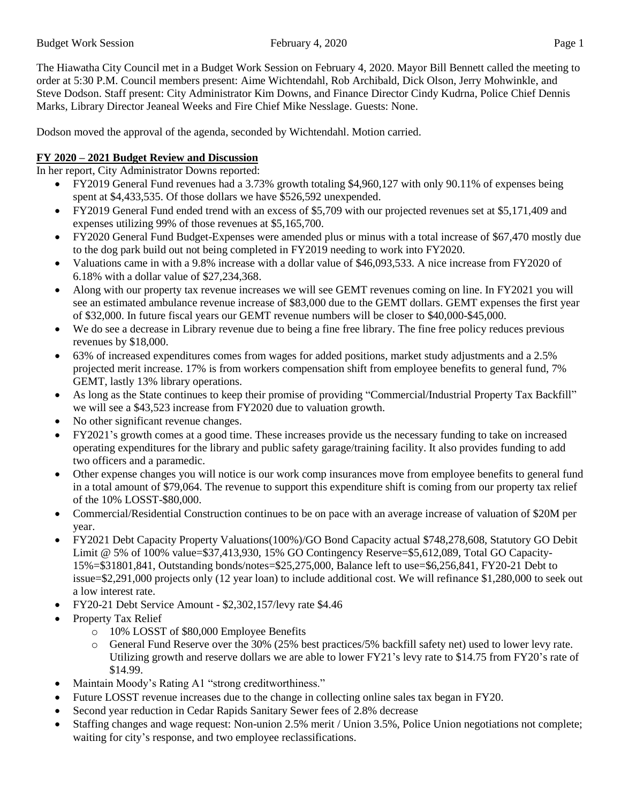The Hiawatha City Council met in a Budget Work Session on February 4, 2020. Mayor Bill Bennett called the meeting to order at 5:30 P.M. Council members present: Aime Wichtendahl, Rob Archibald, Dick Olson, Jerry Mohwinkle, and Steve Dodson. Staff present: City Administrator Kim Downs, and Finance Director Cindy Kudrna, Police Chief Dennis Marks, Library Director Jeaneal Weeks and Fire Chief Mike Nesslage. Guests: None.

Dodson moved the approval of the agenda, seconded by Wichtendahl. Motion carried.

## **FY 2020 – 2021 Budget Review and Discussion**

In her report, City Administrator Downs reported:

- FY2019 General Fund revenues had a 3.73% growth totaling \$4,960,127 with only 90.11% of expenses being spent at \$4,433,535. Of those dollars we have \$526,592 unexpended.
- FY2019 General Fund ended trend with an excess of \$5,709 with our projected revenues set at \$5,171,409 and expenses utilizing 99% of those revenues at \$5,165,700.
- FY2020 General Fund Budget-Expenses were amended plus or minus with a total increase of \$67,470 mostly due to the dog park build out not being completed in FY2019 needing to work into FY2020.
- Valuations came in with a 9.8% increase with a dollar value of \$46,093,533. A nice increase from FY2020 of 6.18% with a dollar value of \$27,234,368.
- Along with our property tax revenue increases we will see GEMT revenues coming on line. In FY2021 you will see an estimated ambulance revenue increase of \$83,000 due to the GEMT dollars. GEMT expenses the first year of \$32,000. In future fiscal years our GEMT revenue numbers will be closer to \$40,000-\$45,000.
- We do see a decrease in Library revenue due to being a fine free library. The fine free policy reduces previous revenues by \$18,000.
- 63% of increased expenditures comes from wages for added positions, market study adjustments and a 2.5% projected merit increase. 17% is from workers compensation shift from employee benefits to general fund, 7% GEMT, lastly 13% library operations.
- As long as the State continues to keep their promise of providing "Commercial/Industrial Property Tax Backfill" we will see a \$43,523 increase from FY2020 due to valuation growth.
- No other significant revenue changes.
- FY2021's growth comes at a good time. These increases provide us the necessary funding to take on increased operating expenditures for the library and public safety garage/training facility. It also provides funding to add two officers and a paramedic.
- Other expense changes you will notice is our work comp insurances move from employee benefits to general fund in a total amount of \$79,064. The revenue to support this expenditure shift is coming from our property tax relief of the 10% LOSST-\$80,000.
- Commercial/Residential Construction continues to be on pace with an average increase of valuation of \$20M per year.
- FY2021 Debt Capacity Property Valuations(100%)/GO Bond Capacity actual \$748,278,608, Statutory GO Debit Limit @ 5% of 100% value=\$37,413,930, 15% GO Contingency Reserve=\$5,612,089, Total GO Capacity-15%=\$31801,841, Outstanding bonds/notes=\$25,275,000, Balance left to use=\$6,256,841, FY20-21 Debt to issue=\$2,291,000 projects only (12 year loan) to include additional cost. We will refinance \$1,280,000 to seek out a low interest rate.
- FY20-21 Debt Service Amount \$2,302,157/levy rate \$4.46
- Property Tax Relief
	- o 10% LOSST of \$80,000 Employee Benefits
	- o General Fund Reserve over the 30% (25% best practices/5% backfill safety net) used to lower levy rate. Utilizing growth and reserve dollars we are able to lower FY21's levy rate to \$14.75 from FY20's rate of \$14.99.
- Maintain Moody's Rating A1 "strong creditworthiness."
- Future LOSST revenue increases due to the change in collecting online sales tax began in FY20.
- Second year reduction in Cedar Rapids Sanitary Sewer fees of 2.8% decrease
- Staffing changes and wage request: Non-union 2.5% merit / Union 3.5%, Police Union negotiations not complete; waiting for city's response, and two employee reclassifications.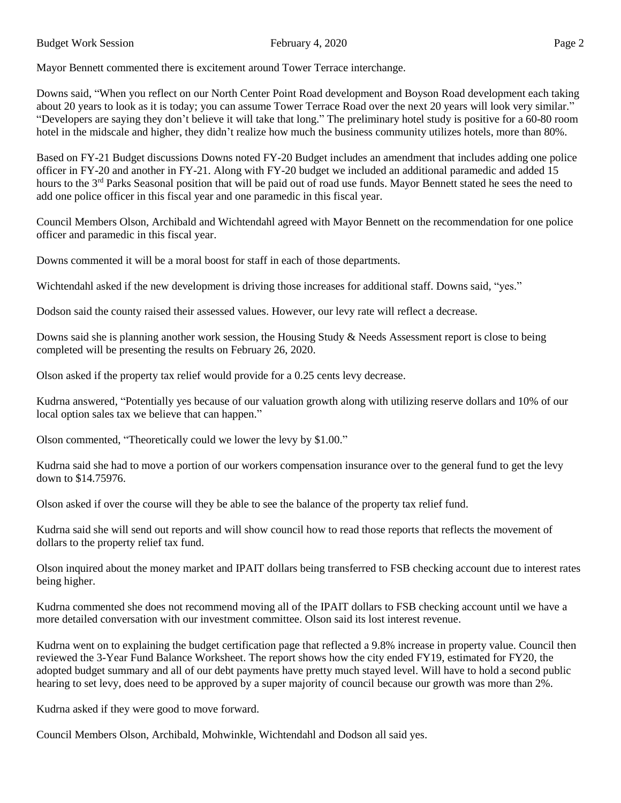Budget Work Session **February 4, 2020** Page 2

Mayor Bennett commented there is excitement around Tower Terrace interchange.

Downs said, "When you reflect on our North Center Point Road development and Boyson Road development each taking about 20 years to look as it is today; you can assume Tower Terrace Road over the next 20 years will look very similar." "Developers are saying they don't believe it will take that long." The preliminary hotel study is positive for a 60-80 room hotel in the midscale and higher, they didn't realize how much the business community utilizes hotels, more than 80%.

Based on FY-21 Budget discussions Downs noted FY-20 Budget includes an amendment that includes adding one police officer in FY-20 and another in FY-21. Along with FY-20 budget we included an additional paramedic and added 15 hours to the 3<sup>rd</sup> Parks Seasonal position that will be paid out of road use funds. Mayor Bennett stated he sees the need to add one police officer in this fiscal year and one paramedic in this fiscal year.

Council Members Olson, Archibald and Wichtendahl agreed with Mayor Bennett on the recommendation for one police officer and paramedic in this fiscal year.

Downs commented it will be a moral boost for staff in each of those departments.

Wichtendahl asked if the new development is driving those increases for additional staff. Downs said, "yes."

Dodson said the county raised their assessed values. However, our levy rate will reflect a decrease.

Downs said she is planning another work session, the Housing Study & Needs Assessment report is close to being completed will be presenting the results on February 26, 2020.

Olson asked if the property tax relief would provide for a 0.25 cents levy decrease.

Kudrna answered, "Potentially yes because of our valuation growth along with utilizing reserve dollars and 10% of our local option sales tax we believe that can happen."

Olson commented, "Theoretically could we lower the levy by \$1.00."

Kudrna said she had to move a portion of our workers compensation insurance over to the general fund to get the levy down to \$14.75976.

Olson asked if over the course will they be able to see the balance of the property tax relief fund.

Kudrna said she will send out reports and will show council how to read those reports that reflects the movement of dollars to the property relief tax fund.

Olson inquired about the money market and IPAIT dollars being transferred to FSB checking account due to interest rates being higher.

Kudrna commented she does not recommend moving all of the IPAIT dollars to FSB checking account until we have a more detailed conversation with our investment committee. Olson said its lost interest revenue.

Kudrna went on to explaining the budget certification page that reflected a 9.8% increase in property value. Council then reviewed the 3-Year Fund Balance Worksheet. The report shows how the city ended FY19, estimated for FY20, the adopted budget summary and all of our debt payments have pretty much stayed level. Will have to hold a second public hearing to set levy, does need to be approved by a super majority of council because our growth was more than 2%.

Kudrna asked if they were good to move forward.

Council Members Olson, Archibald, Mohwinkle, Wichtendahl and Dodson all said yes.